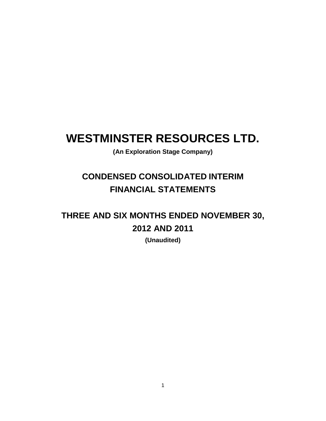# **WESTMINSTER RESOURCES LTD.**

**(An Exploration Stage Company)**

## **CONDENSED CONSOLIDATED INTERIM FINANCIAL STATEMENTS**

## **THREE AND SIX MONTHS ENDED NOVEMBER 30, 2012 AND 2011**

**(Unaudited)**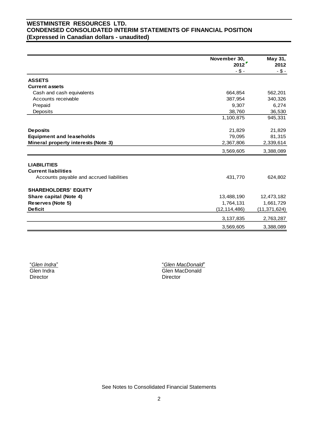### **WESTMINSTER RESOURCES LTD. CONDENSED CONSOLIDATED INTERIM STATEMENTS OF FINANCIAL POSITION (Expressed in Canadian dollars - unaudited)**

|                                          | November 30,<br>2012 | May 31,<br>2012 |
|------------------------------------------|----------------------|-----------------|
|                                          | $-$ \$ -             | $- $ -$         |
| <b>ASSETS</b>                            |                      |                 |
| <b>Current assets</b>                    |                      |                 |
| Cash and cash equivalents                | 664,854              | 562,201         |
| Accounts receivable                      | 387,954              | 340,326         |
| Prepaid                                  | 9,307                | 6,274           |
| Deposits                                 | 38,760               | 36,530          |
|                                          | 1,100,875            | 945,331         |
| <b>Deposits</b>                          | 21,829               | 21,829          |
| <b>Equipment and leaseholds</b>          | 79,095               | 81,315          |
| Mineral property interests (Note 3)      | 2,367,806            | 2,339,614       |
|                                          | 3,569,605            | 3,388,089       |
| <b>LIABILITIES</b>                       |                      |                 |
| <b>Current liabilities</b>               |                      |                 |
| Accounts payable and accrued liabilities | 431,770              | 624,802         |
| <b>SHAREHOLDERS' EQUITY</b>              |                      |                 |
| Share capital (Note 4)                   | 13,488,190           | 12,473,182      |
| Reserves (Note 5)                        | 1,764,131            | 1,661,729       |
| <b>Deficit</b>                           | (12, 114, 486)       | (11, 371, 624)  |
|                                          | 3, 137, 835          | 2,763,287       |
|                                          | 3,569,605            | 3,388,089       |

"*Glen Indra*" Glen Indra Director

"*Glen MacDonald*" Glen MacDonald Director

See Notes to Consolidated Financial Statements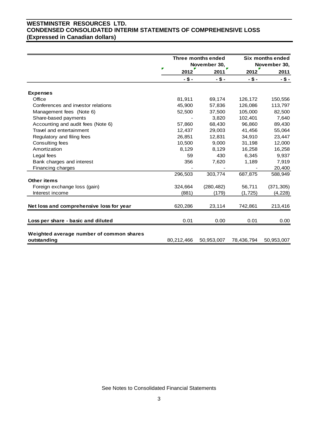## **WESTMINSTER RESOURCES LTD. CONDENSED CONSOLIDATED INTERIM STATEMENTS OF COMPREHENSIVE LOSS (Expressed in Canadian dollars)**

|                                                         |            |          | Three months ended<br>November 30, |            | Six months ended<br>November 30, |
|---------------------------------------------------------|------------|----------|------------------------------------|------------|----------------------------------|
|                                                         | г          | 2012     | 2011                               | 2012       | 2011                             |
|                                                         |            | $-$ \$ - | $-$ \$ -                           | $-$ \$ -   | $-$ \$ -                         |
| <b>Expenses</b>                                         |            |          |                                    |            |                                  |
| Office                                                  |            | 81,911   | 69,174                             | 126,172    | 150,556                          |
| Conferences and investor relations                      |            | 45,900   | 57,836                             | 126,086    | 113,797                          |
| Management fees (Note 6)                                |            | 52,500   | 37,500                             | 105,000    | 82,500                           |
| Share-based payments                                    |            |          | 3,820                              | 102,401    | 7,640                            |
| Accounting and audit fees (Note 6)                      |            | 57,860   | 68,430                             | 96.860     | 89,430                           |
| Travel and entertainment                                |            | 12,437   | 29,003                             | 41,456     | 55,064                           |
| Regulatory and filing fees                              |            | 26,851   | 12,831                             | 34,910     | 23,447                           |
| Consulting fees                                         |            | 10,500   | 9,000                              | 31,198     | 12,000                           |
| Amortization                                            |            | 8,129    | 8,129                              | 16,258     | 16,258                           |
| Legal fees                                              |            | 59       | 430                                | 6.345      | 9,937                            |
| Bank charges and interest                               |            | 356      | 7,620                              | 1,189      | 7,919                            |
| Financing charges                                       |            |          |                                    |            | 20,400                           |
|                                                         |            | 296,503  | 303.774                            | 687,875    | 588,949                          |
| Other items                                             |            |          |                                    |            |                                  |
| Foreign exchange loss (gain)                            |            | 324,664  | (280, 482)                         | 56,711     | (371, 305)                       |
| Interest income                                         |            | (881)    | (179)                              | (1, 725)   | (4, 228)                         |
|                                                         |            |          |                                    |            |                                  |
| Net loss and comprehensive loss for year                |            | 620,286  | 23,114                             | 742,861    | 213,416                          |
| Loss per share - basic and diluted                      |            | 0.01     | 0.00                               | 0.01       | 0.00                             |
| Weighted average number of common shares<br>outstanding | 80,212,466 |          | 50,953,007                         | 78,436,794 | 50,953,007                       |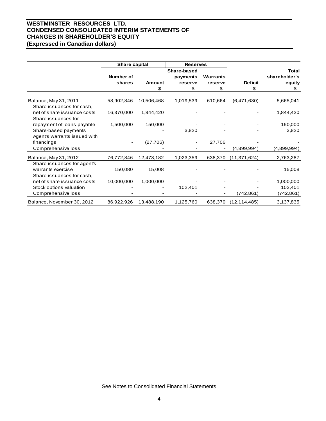## **WESTMINSTER RESOURCES LTD. CONDENSED CONSOLIDATED INTERIM STATEMENTS OF CHANGES IN SHAREHOLDER'S EQUITY (Expressed in Canadian dollars)**

|                                                    | Share capital |               | <b>Reserves</b> |          |                |               |
|----------------------------------------------------|---------------|---------------|-----------------|----------|----------------|---------------|
|                                                    | Share-based   |               |                 |          |                | <b>Total</b>  |
|                                                    | Number of     |               | payments        | Warrants |                | shareholder's |
|                                                    | shares        | <b>Amount</b> | reserve         | reserve  | <b>Deficit</b> | equity        |
|                                                    |               | $-$ \$ -      | $- $ -$         | $-$ \$ - | $-$ \$ -       | -\$-          |
| Balance, May 31, 2011<br>Share issuances for cash, | 58,902,846    | 10,506,468    | 1,019,539       | 610,664  | (6,471,630)    | 5,665,041     |
| net of share issuance costs<br>Share issuances for | 16,370,000    | 1,844,420     |                 |          |                | 1,844,420     |
| repayment of loans payable                         | 1,500,000     | 150,000       |                 |          |                | 150,000       |
| Share-based payments                               |               |               | 3,820           |          |                | 3,820         |
| Agent's warrants issued with                       |               |               |                 |          |                |               |
| financings                                         |               | (27,706)      |                 | 27,706   |                |               |
| Comprehensive loss                                 |               |               |                 |          | (4,899,994)    | (4,899,994)   |
| Balance, May 31, 2012                              | 76,772,846    | 12,473,182    | 1,023,359       | 638,370  | (11, 371, 624) | 2,763,287     |
| Share issuances for agent's                        |               |               |                 |          |                |               |
| warrants exercise                                  | 150,080       | 15,008        |                 |          |                | 15,008        |
| Share issuances for cash,                          |               |               |                 |          |                |               |
| net of share issuance costs                        | 10,000,000    | 1,000,000     |                 |          |                | 1,000,000     |
| Stock options valuation                            |               |               | 102,401         |          |                | 102,401       |
| Comprehensive loss                                 |               |               |                 |          | (742, 861)     | (742,861)     |
| Balance, November 30, 2012                         | 86,922,926    | 13,488,190    | 1,125,760       | 638,370  | (12, 114, 485) | 3,137,835     |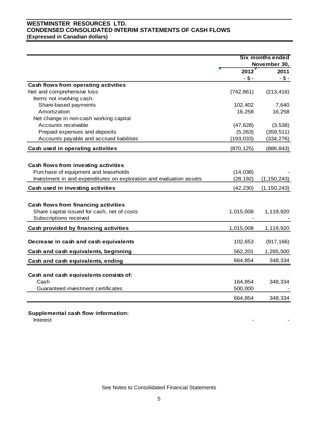## **WESTMINSTER RESOURCES LTD. CONDENSED CONSOLIDATED INTERIM STATEMENTS OF CASH FLOWS (Expressed in Canadian dollars)**

|                                                                     | <b>Six months ended</b> |               |
|---------------------------------------------------------------------|-------------------------|---------------|
|                                                                     |                         | November 30,  |
|                                                                     | 2012                    | 2011          |
|                                                                     | $-$ \$ -                | $- $ -$       |
| Cash flows from operating activities                                |                         |               |
| Net and comprehensive loss                                          | (742, 861)              | (213, 416)    |
| Items not involving cash:                                           |                         |               |
| Share-based payments                                                | 102,402                 | 7,640         |
| Amortization                                                        | 16,258                  | 16,258        |
| Net change in non-cash working capital                              |                         |               |
| Accounts receivable                                                 | (47, 628)               | (3,538)       |
| Prepaid expenses and deposits                                       | (5,263)                 | (359, 511)    |
| Accounts payable and accrued liabilities                            | (193, 033)              | (334, 276)    |
| Cash used in operating activities                                   | (870, 125)              | (886, 843)    |
|                                                                     |                         |               |
| Cash flows from investing activities                                |                         |               |
| Purchase of equipment and leaseholds                                | (14, 038)               |               |
| Investment in and expenditures on exploration and evaluation assets | (28, 192)               | (1, 150, 243) |
| Cash used in investing activities                                   | (42, 230)               | (1, 150, 243) |
|                                                                     |                         |               |
| Cash flows from financing activities                                |                         |               |
| Share capital issued for cash, net of costs                         | 1,015,008               | 1,119,920     |
| Subscriptions received                                              |                         |               |
| Cash provided by financing activities                               | 1,015,008               | 1,119,920     |
|                                                                     |                         |               |
| Decrease in cash and cash equivalents                               | 102,653                 | (917, 166)    |
| Cash and cash equivalents, beginning                                | 562,201                 | 1,265,500     |
| Cash and cash equivalents, ending                                   | 664,854                 | 348,334       |
|                                                                     |                         |               |
| Cash and cash equivalents consists of:                              |                         |               |
| Cash                                                                | 164,854                 | 348,334       |
| Guaranteed investment certificates                                  | 500,000                 |               |
|                                                                     | 664,854                 | 348,334       |
|                                                                     |                         |               |

**Supplemental cash flow information:**

Interest - -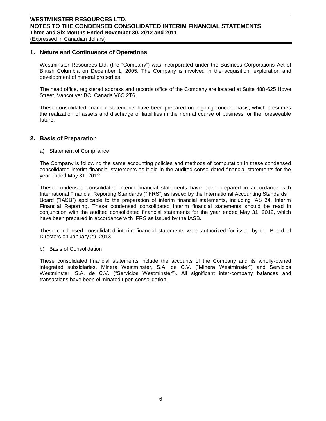#### **1. Nature and Continuance of Operations**

Westminster Resources Ltd. (the "Company") was incorporated under the Business Corporations Act of British Columbia on December 1, 2005. The Company is involved in the acquisition, exploration and development of mineral properties.

The head office, registered address and records office of the Company are located at Suite 488-625 Howe Street, Vancouver BC, Canada V6C 2T6.

These consolidated financial statements have been prepared on a going concern basis, which presumes the realization of assets and discharge of liabilities in the normal course of business for the foreseeable future.

#### **2. Basis of Preparation**

a) Statement of Compliance

The Company is following the same accounting policies and methods of computation in these condensed consolidated interim financial statements as it did in the audited consolidated financial statements for the year ended May 31, 2012.

These condensed consolidated interim financial statements have been prepared in accordance with International Financial Reporting Standards ("IFRS") as issued by the International Accounting Standards Board ("IASB") applicable to the preparation of interim financial statements, including IAS 34, Interim Financial Reporting. These condensed consolidated interim financial statements should be read in conjunction with the audited consolidated financial statements for the year ended May 31, 2012, which have been prepared in accordance with IFRS as issued by the IASB.

These condensed consolidated interim financial statements were authorized for issue by the Board of Directors on January 29, 2013.

b) Basis of Consolidation

These consolidated financial statements include the accounts of the Company and its wholly-owned integrated subsidiaries, Minera Westminster, S.A. de C.V. ("Minera Westminster") and Servicios Westminster, S.A. de C.V. ("Servicios Westminster"). All significant inter-company balances and transactions have been eliminated upon consolidation.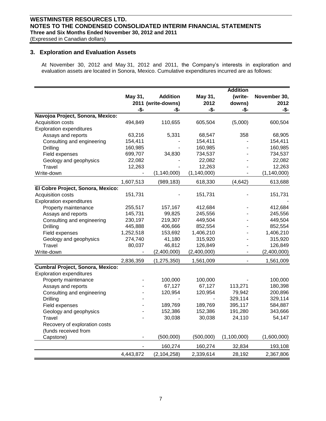## **WESTMINSTER RESOURCES LTD. NOTES TO THE CONDENSED CONSOLIDATED INTERIM FINANCIAL STATEMENTS Three and Six Months Ended November 30, 2012 and 2011**

(Expressed in Canadian dollars)

#### **3. Exploration and Evaluation Assets**

At November 30, 2012 and May 31, 2012 and 2011, the Company's interests in exploration and evaluation assets are located in Sonora, Mexico. Cumulative expenditures incurred are as follows:

| May 31,<br><b>Addition</b><br>(write-<br>November 30,<br>May 31,<br>2011 (write-downs)<br>2012<br>downs)<br>2012<br>-\$-<br>-\$-<br>-\$-<br>-\$-<br>-\$-<br>Navojoa Project, Sonora, Mexico:<br>(5,000)<br>600,504<br>494,849<br>110,655<br>605,504<br>Acquisition costs<br><b>Exploration expenditures</b> |
|-------------------------------------------------------------------------------------------------------------------------------------------------------------------------------------------------------------------------------------------------------------------------------------------------------------|
|                                                                                                                                                                                                                                                                                                             |
|                                                                                                                                                                                                                                                                                                             |
|                                                                                                                                                                                                                                                                                                             |
|                                                                                                                                                                                                                                                                                                             |
|                                                                                                                                                                                                                                                                                                             |
|                                                                                                                                                                                                                                                                                                             |
| 5,331<br>358<br>68,905<br>Assays and reports<br>63,216<br>68,547                                                                                                                                                                                                                                            |
| 154,411<br>154,411<br>154,411<br>Consulting and engineering                                                                                                                                                                                                                                                 |
| Drilling<br>160,985<br>160,985<br>160,985                                                                                                                                                                                                                                                                   |
| 34,830<br>734,537<br>699,707<br>734,537<br>Field expenses                                                                                                                                                                                                                                                   |
| 22,082<br>22,082<br>22,082<br>Geology and geophysics                                                                                                                                                                                                                                                        |
| 12,263<br>12,263<br>Travel<br>12,263                                                                                                                                                                                                                                                                        |
| Write-down<br>(1, 140, 000)<br>(1, 140, 000)<br>(1, 140, 000)                                                                                                                                                                                                                                               |
| 1,607,513<br>(989, 183)<br>618,330<br>(4, 642)<br>613,688                                                                                                                                                                                                                                                   |
| El Cobre Project, Sonora, Mexico:                                                                                                                                                                                                                                                                           |
| 151,731<br>151,731<br>Acquisition costs<br>151,731                                                                                                                                                                                                                                                          |
| <b>Exploration expenditures</b>                                                                                                                                                                                                                                                                             |
| 412,684<br>Property maintenance<br>255,517<br>157,167<br>412,684                                                                                                                                                                                                                                            |
| 99,825<br>245,556<br>Assays and reports<br>145,731<br>245,556                                                                                                                                                                                                                                               |
| 230,197<br>219,307<br>449,504<br>449,504<br>Consulting and engineering                                                                                                                                                                                                                                      |
| <b>Drilling</b><br>406,666<br>852,554<br>852,554<br>445,888                                                                                                                                                                                                                                                 |
| 153,692<br>1,406,210<br>1,406,210<br>Field expenses<br>1,252,518                                                                                                                                                                                                                                            |
| Geology and geophysics<br>274,740<br>41,180<br>315,920<br>315,920                                                                                                                                                                                                                                           |
| Travel<br>80,037<br>46,812<br>126,849<br>126,849                                                                                                                                                                                                                                                            |
| Write-down<br>(2,400,000)<br>(2,400,000)<br>(2,400,000)<br>$\qquad \qquad \blacksquare$                                                                                                                                                                                                                     |
| 2,836,359<br>(1, 275, 350)<br>1,561,009<br>1,561,009                                                                                                                                                                                                                                                        |
| <b>Cumbral Project, Sonora, Mexico:</b>                                                                                                                                                                                                                                                                     |
| <b>Exploration expenditures</b>                                                                                                                                                                                                                                                                             |
| 100,000<br>100,000<br>100,000<br>Property maintenance                                                                                                                                                                                                                                                       |
| 67,127<br>113,271<br>180,398<br>67,127<br>Assays and reports                                                                                                                                                                                                                                                |
| 200,896<br>120,954<br>120,954<br>79,942<br>Consulting and engineering                                                                                                                                                                                                                                       |
| <b>Drilling</b><br>329,114<br>329,114                                                                                                                                                                                                                                                                       |
| 189,769<br>189,769<br>395,117<br>584,887<br>Field expenses                                                                                                                                                                                                                                                  |
| 152,386<br>152,386<br>191,280<br>343,666<br>Geology and geophysics                                                                                                                                                                                                                                          |
| 30,038<br>Travel<br>30,038<br>24,110<br>54,147                                                                                                                                                                                                                                                              |
| Recovery of exploration costs                                                                                                                                                                                                                                                                               |
| (funds received from                                                                                                                                                                                                                                                                                        |
| (1,600,000)<br>(500,000)<br>(500,000)<br>(1,100,000)<br>Capstone)                                                                                                                                                                                                                                           |
| 160,274<br>160,274<br>32,834<br>193,108                                                                                                                                                                                                                                                                     |
| (2, 104, 258)<br>2,339,614<br>28,192<br>2,367,806<br>4,443,872                                                                                                                                                                                                                                              |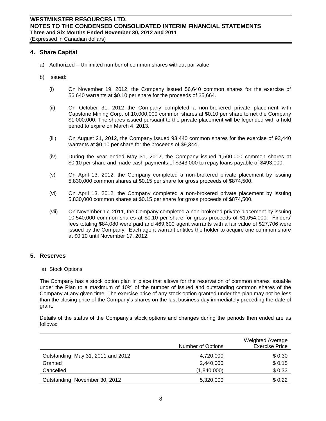#### **4. Share Capital**

- a) Authorized Unlimited number of common shares without par value
- b) Issued:
	- (i) On November 19, 2012, the Company issued 56,640 common shares for the exercise of 56,640 warrants at \$0.10 per share for the proceeds of \$5,664.
	- (ii) On October 31, 2012 the Company completed a non-brokered private placement with Capstone Mining Corp. of 10,000,000 common shares at \$0.10 per share to net the Company \$1,000,000. The shares issued pursuant to the private placement will be legended with a hold period to expire on March 4, 2013.
	- (iii) On August 21, 2012, the Company issued 93,440 common shares for the exercise of 93,440 warrants at \$0.10 per share for the proceeds of \$9,344.
	- (iv) During the year ended May 31, 2012, the Company issued 1,500,000 common shares at \$0.10 per share and made cash payments of \$343,000 to repay loans payable of \$493,000.
	- (v) On April 13, 2012, the Company completed a non-brokered private placement by issuing 5,830,000 common shares at \$0.15 per share for gross proceeds of \$874,500.
	- (vi) On April 13, 2012, the Company completed a non-brokered private placement by issuing 5,830,000 common shares at \$0.15 per share for gross proceeds of \$874,500.
	- (vii) On November 17, 2011, the Company completed a non-brokered private placement by issuing 10,540,000 common shares at \$0.10 per share for gross proceeds of \$1,054,000. Finders' fees totaling \$84,080 were paid and 469,600 agent warrants with a fair value of \$27,706 were issued by the Company. Each agent warrant entitles the holder to acquire one common share at \$0.10 until November 17, 2012.

#### **5. Reserves**

a) Stock Options

The Company has a stock option plan in place that allows for the reservation of common shares issuable under the Plan to a maximum of 10% of the number of issued and outstanding common shares of the Company at any given time. The exercise price of any stock option granted under the plan may not be less than the closing price of the Company's shares on the last business day immediately preceding the date of grant.

Details of the status of the Company's stock options and changes during the periods then ended are as follows:

|                                    | Number of Options | <b>Weighted Average</b><br><b>Exercise Price</b> |
|------------------------------------|-------------------|--------------------------------------------------|
| Outstanding, May 31, 2011 and 2012 | 4,720,000         | \$0.30                                           |
| Granted                            | 2,440,000         | \$0.15                                           |
| Cancelled                          | (1,840,000)       | \$0.33                                           |
| Outstanding, November 30, 2012     | 5,320,000         | \$0.22                                           |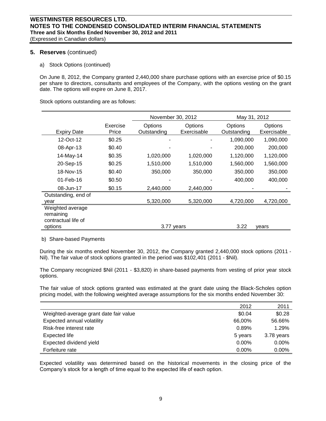#### **5. Reserves** (continued)

a) Stock Options (continued)

On June 8, 2012, the Company granted 2,440,000 share purchase options with an exercise price of \$0.15 per share to directors, consultants and employees of the Company, with the options vesting on the grant date. The options will expire on June 8, 2017.

Stock options outstanding are as follows:

|                                                      |                   | November 30, 2012      |                        | May 31, 2012           |                        |
|------------------------------------------------------|-------------------|------------------------|------------------------|------------------------|------------------------|
| <b>Expiry Date</b>                                   | Exercise<br>Price | Options<br>Outstanding | Options<br>Exercisable | Options<br>Outstanding | Options<br>Exercisable |
| 12-Oct-12                                            | \$0.25            |                        |                        | 1,090,000              | 1,090,000              |
| 08-Apr-13                                            | \$0.40            |                        |                        | 200,000                | 200,000                |
| 14-May-14                                            | \$0.35            | 1,020,000              | 1,020,000              | 1,120,000              | 1,120,000              |
| 20-Sep-15                                            | \$0.25            | 1,510,000              | 1,510,000              | 1,560,000              | 1,560,000              |
| 18-Nov-15                                            | \$0.40            | 350,000                | 350,000                | 350,000                | 350,000                |
| $01$ -Feb-16                                         | \$0.50            |                        |                        | 400,000                | 400,000                |
| 08-Jun-17                                            | \$0.15            | 2,440,000              | 2,440,000              |                        |                        |
| Outstanding, end of<br>year                          |                   | 5,320,000              | 5,320,000              | 4,720,000              | 4,720,000              |
| Weighted average<br>remaining<br>contractual life of |                   |                        |                        | 3.22                   |                        |
| options                                              |                   | 3.77 years             |                        |                        | vears                  |

b) Share-based Payments

During the six months ended November 30, 2012, the Company granted 2,440,000 stock options (2011 - Nil). The fair value of stock options granted in the period was \$102,401 (2011 - \$Nil).

The Company recognized \$Nil (2011 - \$3,820) in share-based payments from vesting of prior year stock options.

The fair value of stock options granted was estimated at the grant date using the Black-Scholes option pricing model, with the following weighted average assumptions for the six months ended November 30:

|                                        | 2012     | 2011       |
|----------------------------------------|----------|------------|
| Weighted-average grant date fair value | \$0.04   | \$0.28     |
| Expected annual volatility             | 66,00%   | 56.66%     |
| Risk-free interest rate                | 0.89%    | 1.29%      |
| Expected life                          | 5 years  | 3.78 years |
| Expected dividend yield                | 0.00%    | $0.00\%$   |
| Forfeiture rate                        | $0.00\%$ | $0.00\%$   |

Expected volatility was determined based on the historical movements in the closing price of the Company's stock for a length of time equal to the expected life of each option.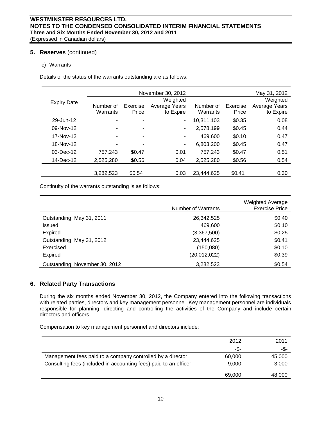#### **5. Reserves** (continued)

#### c) Warrants

Details of the status of the warrants outstanding are as follows:

|                    |           |          | November 30, 2012 |            |          | May 31, 2012  |
|--------------------|-----------|----------|-------------------|------------|----------|---------------|
| <b>Expiry Date</b> |           |          | Weighted          |            |          | Weighted      |
|                    | Number of | Exercise | Average Years     | Number of  | Exercise | Average Years |
|                    | Warrants  | Price    | to Expire         | Warrants   | Price    | to Expire     |
| 29-Jun-12          |           | ٠        | ٠                 | 10.311.103 | \$0.35   | 0.08          |
| 09-Nov-12          |           | ۰        | ٠                 | 2,578,199  | \$0.45   | 0.44          |
| 17-Nov-12          |           | ٠        | ۰                 | 469,600    | \$0.10   | 0.47          |
| 18-Nov-12          |           | ٠        | ۰                 | 6,803,200  | \$0.45   | 0.47          |
| $03$ -Dec-12       | 757,243   | \$0.47   | 0.01              | 757,243    | \$0.47   | 0.51          |
| 14-Dec-12          | 2,525,280 | \$0.56   | 0.04              | 2,525,280  | \$0.56   | 0.54          |
|                    |           |          |                   |            |          |               |
|                    | 3,282,523 | \$0.54   | 0.03              | 23.444.625 | \$0.41   | 0.30          |

Continuity of the warrants outstanding is as follows:

|                                | Number of Warrants | <b>Weighted Average</b><br><b>Exercise Price</b> |
|--------------------------------|--------------------|--------------------------------------------------|
| Outstanding, May 31, 2011      | 26,342,525         | \$0.40                                           |
| Issued                         | 469,600            | \$0.10                                           |
| <b>Expired</b>                 | (3,367,500)        | \$0.25                                           |
| Outstanding, May 31, 2012      | 23,444,625         | \$0.41                                           |
| Exercised                      | (150,080)          | \$0.10                                           |
| <b>Expired</b>                 | (20, 012, 022)     | \$0.39                                           |
| Outstanding, November 30, 2012 | 3,282,523          | \$0.54                                           |

#### **6. Related Party Transactions**

During the six months ended November 30, 2012, the Company entered into the following transactions with related parties, directors and key management personnel. Key management personnel are individuals responsible for planning, directing and controlling the activities of the Company and include certain directors and officers.

Compensation to key management personnel and directors include:

|                                                                  | 2012   | 2011   |
|------------------------------------------------------------------|--------|--------|
|                                                                  | -\$-   | -\$-   |
| Management fees paid to a company controlled by a director       | 60,000 | 45,000 |
| Consulting fees (included in accounting fees) paid to an officer | 9.000  | 3,000  |
|                                                                  | 69,000 | 48,000 |